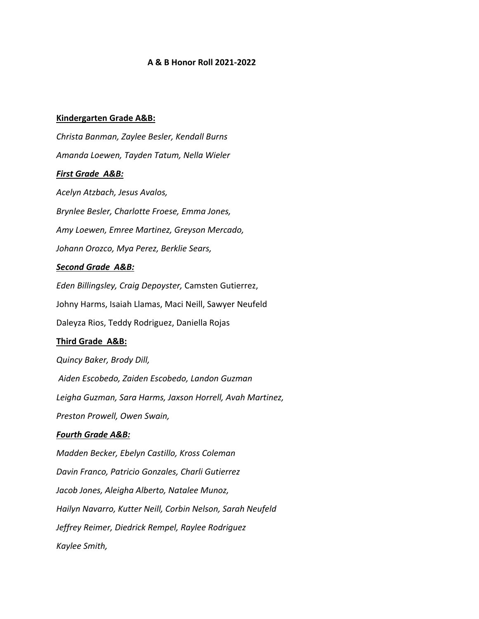#### **A & B Honor Roll 2021-2022**

#### **Kindergarten Grade A&B:**

*Christa Banman, Zaylee Besler, Kendall Burns Amanda Loewen, Tayden Tatum, Nella Wieler First Grade A&B: Acelyn Atzbach, Jesus Avalos, Brynlee Besler, Charlotte Froese, Emma Jones, Amy Loewen, Emree Martinez, Greyson Mercado, Johann Orozco, Mya Perez, Berklie Sears,* 

#### *Second Grade A&B:*

*Eden Billingsley, Craig Depoyster,* Camsten Gutierrez, Johny Harms, Isaiah Llamas, Maci Neill, Sawyer Neufeld Daleyza Rios, Teddy Rodriguez, Daniella Rojas

### **Third Grade A&B:**

*Quincy Baker, Brody Dill,*

*Aiden Escobedo, Zaiden Escobedo, Landon Guzman*

*Leigha Guzman, Sara Harms, Jaxson Horrell, Avah Martinez,* 

*Preston Prowell, Owen Swain,* 

## *Fourth Grade A&B:*

*Madden Becker, Ebelyn Castillo, Kross Coleman Davin Franco, Patricio Gonzales, Charli Gutierrez Jacob Jones, Aleigha Alberto, Natalee Munoz, Hailyn Navarro, Kutter Neill, Corbin Nelson, Sarah Neufeld Jeffrey Reimer, Diedrick Rempel, Raylee Rodriguez Kaylee Smith,*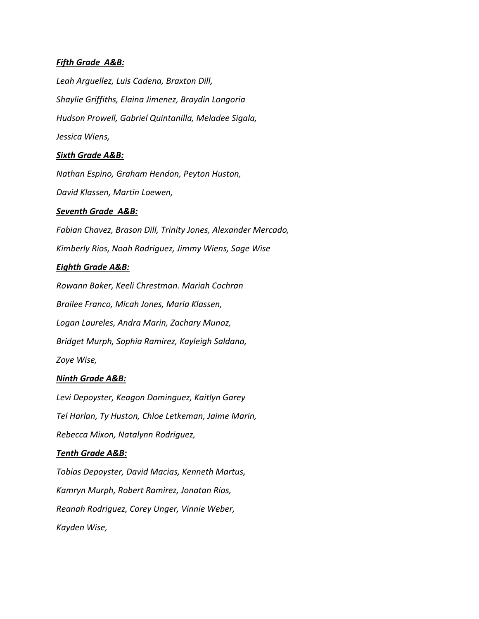### *Fifth Grade A&B:*

*Leah Arguellez, Luis Cadena, Braxton Dill, Shaylie Griffiths, Elaina Jimenez, Braydin Longoria Hudson Prowell, Gabriel Quintanilla, Meladee Sigala, Jessica Wiens,* 

#### *Sixth Grade A&B:*

*Nathan Espino, Graham Hendon, Peyton Huston, David Klassen, Martin Loewen,* 

### *Seventh Grade A&B:*

*Fabian Chavez, Brason Dill, Trinity Jones, Alexander Mercado, Kimberly Rios, Noah Rodriguez, Jimmy Wiens, Sage Wise*

### *Eighth Grade A&B:*

*Rowann Baker, Keeli Chrestman. Mariah Cochran Brailee Franco, Micah Jones, Maria Klassen, Logan Laureles, Andra Marin, Zachary Munoz, Bridget Murph, Sophia Ramirez, Kayleigh Saldana, Zoye Wise,* 

# *Ninth Grade A&B:*

*Levi Depoyster, Keagon Dominguez, Kaitlyn Garey Tel Harlan, Ty Huston, Chloe Letkeman, Jaime Marin, Rebecca Mixon, Natalynn Rodriguez,* 

#### *Tenth Grade A&B:*

*Tobias Depoyster, David Macias, Kenneth Martus, Kamryn Murph, Robert Ramirez, Jonatan Rios, Reanah Rodriguez, Corey Unger, Vinnie Weber, Kayden Wise,*